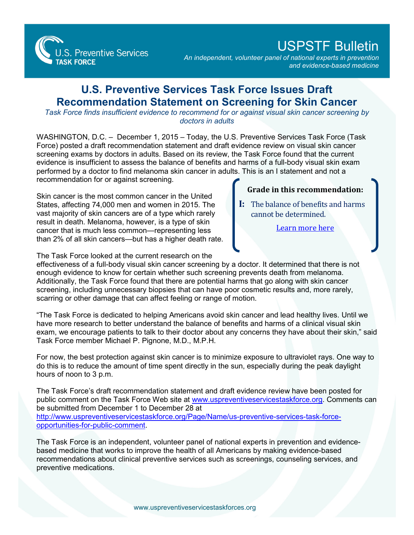

## USPSTF Bulletin

*An independent, volunteer panel of national experts in prevention and evidence-based medicine*

## **U.S. Preventive Services Task Force Issues Draft Recommendation Statement on Screening for Skin Cancer**

*Task Force finds insufficient evidence to recommend for or against visual skin cancer screening by doctors in adults*

WASHINGTON, D.C. – December 1, 2015 – Today, the U.S. Preventive Services Task Force (Task Force) posted a draft recommendation statement and draft evidence review on visual skin cancer screening exams by doctors in adults. Based on its review, the Task Force found that the current evidence is insufficient to assess the balance of benefits and harms of a full-body visual skin exam performed by a doctor to find melanoma skin cancer in adults. This is an I statement and not a recommendation for or against screening.

Skin cancer is the most common cancer in the United States, affecting 74,000 men and women in 2015. The vast majority of skin cancers are of a type which rarely result in death. Melanoma, however, is a type of skin cancer that is much less common—representing less than 2% of all skin cancers—but has a higher death rate.

The Task Force looked at the current research on the

effectiveness of a full-body visual skin cancer screening by a doctor. It determined that there is not enough evidence to know for certain whether such screening prevents death from melanoma. Additionally, the Task Force found that there are potential harms that go along with skin cancer screening, including unnecessary biopsies that can have poor cosmetic results and, more rarely, scarring or other damage that can affect feeling or range of motion.

"The Task Force is dedicated to helping Americans avoid skin cancer and lead healthy lives. Until we have more research to better understand the balance of benefits and harms of a clinical visual skin exam, we encourage patients to talk to their doctor about any concerns they have about their skin," said Task Force member Michael P. Pignone, M.D., M.P.H.

For now, the best protection against skin cancer is to minimize exposure to ultraviolet rays. One way to do this is to reduce the amount of time spent directly in the sun, especially during the peak daylight hours of noon to 3 p.m.

The Task Force's draft recommendation statement and draft evidence review have been posted for public comment on the Task Force Web site at [www.uspreventiveservicestaskforce.org.](http://www.uspreventiveservicestaskforce.org/) Comments can be submitted from December 1 to December 28 at [http://www.uspreventiveservicestaskforce.org/Page/Name/us-preventive-services-task-force](http://www.uspreventiveservicestaskforce.org/Page/Name/us-preventive-services-task-force-opportunities-for-public-comment)[opportunities-for-public-comment.](http://www.uspreventiveservicestaskforce.org/Page/Name/us-preventive-services-task-force-opportunities-for-public-comment)

The Task Force is an independent, volunteer panel of national experts in prevention and evidencebased medicine that works to improve the health of all Americans by making evidence-based recommendations about clinical preventive services such as screenings, counseling services, and preventive medications.

## **Grade in this recommendation:**

**I:** The balance of benefits and harms cannot be determined.

[Learn more here](http://www.uspreventiveservicestaskforce.org/Page/Name/grade-definitions)